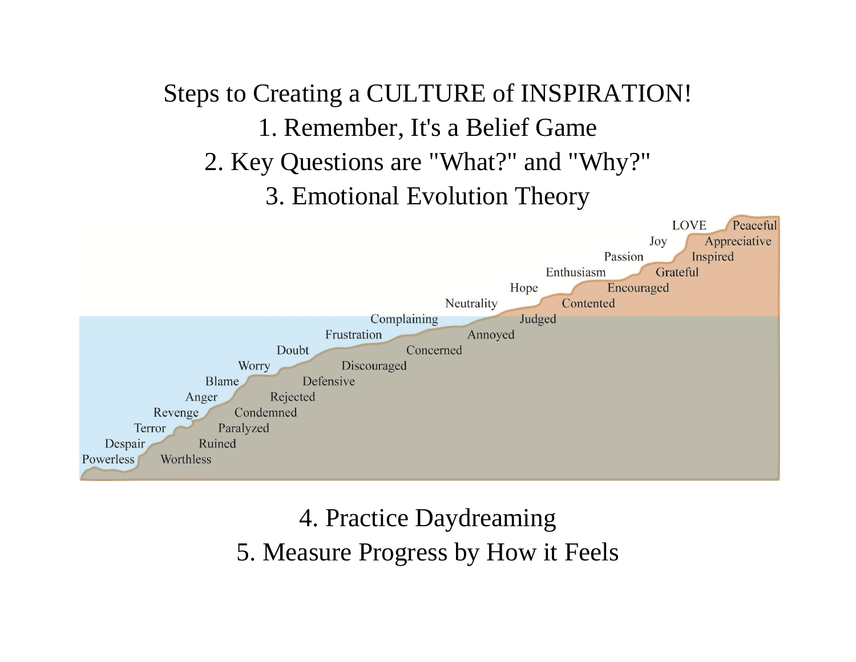## Steps to Creating a CULTURE of INSPIRATION! 1. Remember, It's a Belief Game 2. Key Questions are "What?" and "Why?" 3. Emotional Evolution Theory **LOVE** Peaceful Appreciative Joy Passion Inspired Enthusiasm Grateful Hope Encouraged Neutrality Contented Complaining Judged Frustration Annoyed Doubt Concerned Worry Discouraged Blame Defensive Anger Rejected Revenge Condemned Paralyzed Terror Despair Ruined Powerless Worthless

## 4. Practice Daydreaming 5. Measure Progress by How it Feels